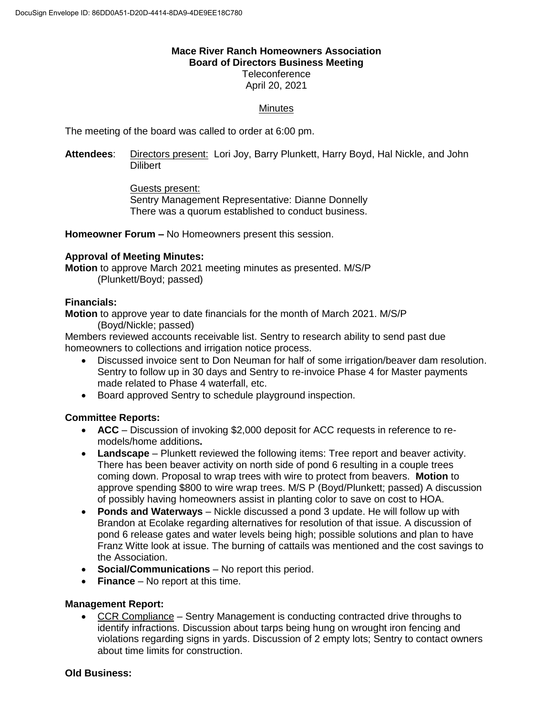# **Mace River Ranch Homeowners Association Board of Directors Business Meeting**

**Teleconference** April 20, 2021

### **Minutes**

The meeting of the board was called to order at 6:00 pm.

**Attendees**: Directors present: Lori Joy, Barry Plunkett, Harry Boyd, Hal Nickle, and John **Dilibert** 

> Guests present: Sentry Management Representative: Dianne Donnelly There was a quorum established to conduct business.

**Homeowner Forum –** No Homeowners present this session.

#### **Approval of Meeting Minutes:**

**Motion** to approve March 2021 meeting minutes as presented. M/S/P (Plunkett/Boyd; passed)

#### **Financials:**

**Motion** to approve year to date financials for the month of March 2021. M/S/P (Boyd/Nickle; passed)

Members reviewed accounts receivable list. Sentry to research ability to send past due homeowners to collections and irrigation notice process.

- Discussed invoice sent to Don Neuman for half of some irrigation/beaver dam resolution. Sentry to follow up in 30 days and Sentry to re-invoice Phase 4 for Master payments made related to Phase 4 waterfall, etc.
- Board approved Sentry to schedule playground inspection.

#### **Committee Reports:**

- **ACC** Discussion of invoking \$2,000 deposit for ACC requests in reference to remodels/home additions**.**
- **Landscape** Plunkett reviewed the following items: Tree report and beaver activity. There has been beaver activity on north side of pond 6 resulting in a couple trees coming down. Proposal to wrap trees with wire to protect from beavers. **Motion** to approve spending \$800 to wire wrap trees. M/S P (Boyd/Plunkett; passed) A discussion of possibly having homeowners assist in planting color to save on cost to HOA.
- **Ponds and Waterways** Nickle discussed a pond 3 update. He will follow up with Brandon at Ecolake regarding alternatives for resolution of that issue. A discussion of pond 6 release gates and water levels being high; possible solutions and plan to have Franz Witte look at issue. The burning of cattails was mentioned and the cost savings to the Association.
- **Social/Communications** No report this period.
- **Finance** No report at this time.

#### **Management Report:**

 CCR Compliance – Sentry Management is conducting contracted drive throughs to identify infractions. Discussion about tarps being hung on wrought iron fencing and violations regarding signs in yards. Discussion of 2 empty lots; Sentry to contact owners about time limits for construction.

#### **Old Business:**